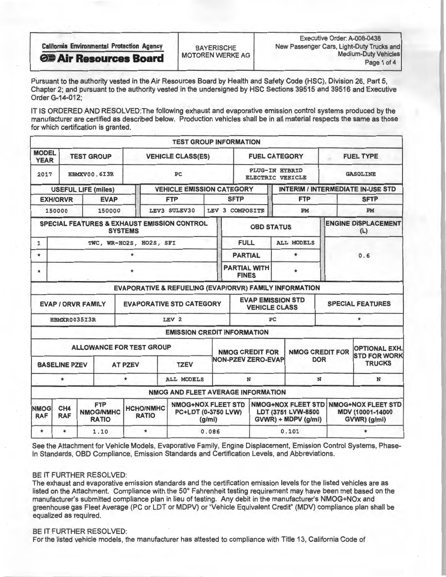| <b>California Environmental Protection Agency</b> | <b>BAYERISCHE</b>         | Executive Order: A-008-0438<br>New Passenger Cars, Light-Duty Trucks and |
|---------------------------------------------------|---------------------------|--------------------------------------------------------------------------|
| <b>OF Air Resources Board</b>                     | <b>MOTOREN WERKE AG  </b> | <b>Medium-Duty Vehicles</b><br>Page 1 of 4                               |

Pursuant to the authority vested in the Air Resources Board by Health and Safety Code (HSC), Division 26, Part 5, Chapter 2; and pursuant to the authority vested in the undersigned by HSC Sections 39515 and 39516 and Executive Order G-14-012;

IT IS ORDERED AND RESOLVED: The following exhaust and evaporative emission control systems produced by the manufacturer are certified as described below. Production vehicles shall be in all material respects the same as those for which certification is granted.

|                             |                                               |                                                                                                                                        |              |                                 |                                                        |       | <b>TEST GROUP INFORMATION</b>                                          |                           |                                                               |            |                        |                                             |  |  |
|-----------------------------|-----------------------------------------------|----------------------------------------------------------------------------------------------------------------------------------------|--------------|---------------------------------|--------------------------------------------------------|-------|------------------------------------------------------------------------|---------------------------|---------------------------------------------------------------|------------|------------------------|---------------------------------------------|--|--|
| <b>MODEL</b><br><b>YEAR</b> | <b>TEST GROUP</b><br><b>VEHICLE CLASS(ES)</b> |                                                                                                                                        |              |                                 |                                                        |       | <b>FUEL CATEGORY</b>                                                   |                           |                                                               |            | <b>FUEL TYPE</b>       |                                             |  |  |
| 2017                        |                                               |                                                                                                                                        | HBMXV00.6I3R |                                 | PC                                                     |       |                                                                        |                           | <b>PLUG-IN HYBRID</b><br><b>ELECTRIC VEHICLE</b>              |            |                        | <b>GASOLINE</b>                             |  |  |
|                             | <b>USEFUL LIFE (miles)</b>                    |                                                                                                                                        |              |                                 | <b>VEHICLE EMISSION CATEGORY</b>                       |       |                                                                        |                           |                                                               |            |                        | <b>INTERIM / INTERMEDIATE IN-USE STD</b>    |  |  |
|                             | <b>EXH/ORVR</b>                               | <b>EVAP</b>                                                                                                                            |              |                                 | <b>FTP</b>                                             |       | <b>SFTP</b>                                                            |                           | <b>FTP</b>                                                    |            | <b>SFTP</b>            |                                             |  |  |
|                             | 150000                                        |                                                                                                                                        | 150000       |                                 | LEV3 SULEV30                                           |       | LEV 3 COMPOSITE                                                        |                           |                                                               | PM         | PM                     |                                             |  |  |
|                             |                                               |                                                                                                                                        |              | <b>SYSTEMS</b>                  | SPECIAL FEATURES & EXHAUST EMISSION CONTROL            |       |                                                                        | <b>OBD STATUS</b>         |                                                               |            |                        | <b>ENGINE DISPLACEMENT</b><br>(L)           |  |  |
| 1                           |                                               |                                                                                                                                        |              | TWC, WR-HO2S, HO2S, SFI         |                                                        |       | <b>FULL</b>                                                            |                           | <b>ALL MODELS</b>                                             |            |                        |                                             |  |  |
| $\ast$                      |                                               |                                                                                                                                        |              | $\star$                         |                                                        |       | <b>PARTIAL</b>                                                         |                           | $\star$                                                       |            | 0.6                    |                                             |  |  |
| $\bullet$                   |                                               |                                                                                                                                        |              |                                 |                                                        |       | <b>PARTIAL WITH</b><br><b>FINES</b>                                    |                           |                                                               |            |                        |                                             |  |  |
|                             |                                               |                                                                                                                                        |              |                                 | EVAPORATIVE & REFUELING (EVAP/ORVR) FAMILY INFORMATION |       |                                                                        |                           |                                                               |            |                        |                                             |  |  |
|                             | <b>EVAP / ORVR FAMILY</b>                     |                                                                                                                                        |              |                                 | <b>EVAPORATIVE STD CATEGORY</b>                        |       |                                                                        | <b>VEHICLE CLASS</b>      | <b>EVAP EMISSION STD</b>                                      |            |                        | <b>SPECIAL FEATURES</b>                     |  |  |
|                             | HBMXR0035I3R                                  |                                                                                                                                        |              |                                 | LEV <sub>2</sub>                                       |       | PC                                                                     |                           |                                                               |            |                        | $\star$                                     |  |  |
|                             |                                               |                                                                                                                                        |              |                                 | <b>EMISSION CREDIT INFORMATION</b>                     |       |                                                                        |                           |                                                               |            |                        |                                             |  |  |
|                             |                                               |                                                                                                                                        |              | <b>ALLOWANCE FOR TEST GROUP</b> |                                                        |       | <b>NMOG CREDIT FOR</b>                                                 |                           |                                                               |            | <b>NMOG CREDIT FOR</b> | <b>OPTIONAL EXH.</b><br><b>STD FOR WORK</b> |  |  |
|                             | <b>BASELINE PZEV</b>                          |                                                                                                                                        |              | <b>AT PZEV</b>                  | <b>TZEV</b>                                            |       |                                                                        | <b>NON-PZEV ZERO-EVAP</b> |                                                               | <b>DOR</b> |                        | <b>TRUCKS</b>                               |  |  |
|                             | $\star$<br>$\star$<br><b>ALL MODELS</b>       |                                                                                                                                        |              |                                 |                                                        |       | N                                                                      |                           |                                                               | N          | N                      |                                             |  |  |
|                             |                                               |                                                                                                                                        |              |                                 | NMOG AND FLEET AVERAGE INFORMATION                     |       |                                                                        |                           |                                                               |            |                        |                                             |  |  |
| <b>NMOG</b><br><b>RAF</b>   | CH <sub>4</sub><br><b>RAF</b>                 | <b>NMOG+NOX FLEET STD</b><br><b>FTP</b><br><b>HCHO/NMHC</b><br>PC+LDT (0-3750 LVW)<br><b>NMOG/NMHC</b><br><b>RATIO</b><br><b>RATIO</b> |              | (g/mi)                          |                                                        |       | <b>NMOG+NOX FLEET STD</b><br>LDT (3751 LVW-8500<br>GVWR) + MDPV (g/mi) |                           | <b>NMOG+NOX FLEET STD</b><br>MDV (10001-14000<br>GVWR) (g/mi) |            |                        |                                             |  |  |
| $\star$                     | $\star$                                       |                                                                                                                                        | 1.10         | $\star$                         |                                                        | 0.086 |                                                                        |                           | 0.101                                                         |            |                        |                                             |  |  |

See the Attachment for Vehicle Models, Evaporative Family, Engine Displacement, Emission Control Systems, Phasen Standards, OBD Compliance, Emission Standards and Certification Levels, and Abbreviations.

BE IT FURTHER RESOLVED:<br>The exhaust and evaporative emission standards and the certification emission levels for the listed vehicles are as The exhaust and evaporative emission standards and the certification emission levels for the listed vehicles are as listed on the Attachment. Compliance with the 50 Fahrenheit testing requirement may have been met based on the manufacturer's sumitted compilance plan in lieu of testing. Any debit in the manufacturer's NMOG+NOX and greenhouse gas Fleet Average (PC or LDT or MDPV) or "Vehicle Equivalent Credit" (MDV) compliance plan shall be equalized as required.

#### BE IT FURTHER RESOLVED:

For the listed vehicle models, the manufacturer has attested to compliance with Title 13, California Code of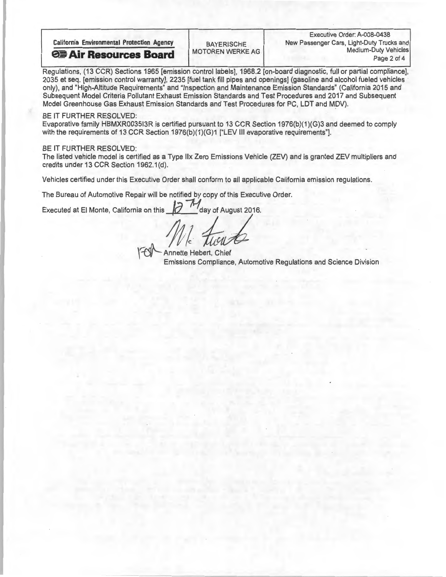Regulations, (13 CCR) Sections 1965 [emission control labels], 1968.2 [on-board diagnostic, full or partial compliance],<br>2035 et seq. [emission control warranty], 2235 [fuel tank fill pipes and openings] (gasoline and alco 2035 et seq. [emission control warranty], 2235 [fuel tank fill pipes and openings] (gasoline and alcohol fueled vehicles only), and "High-Altitude Requirements" and "Inspection and Maintenance Emission Standards" (California 2015 and Subsequent Model Criteria Pollutant Exhaust Emission Standards and Test Procedures and 2017 and Subsequent Model Greenhouse Gas Exhaust Emission Standards and Test Procedures for PC, LDT and MDV).

### BE IT FURTHER RESOLVED:

Evaporative family HBMXR003513R is certified pursuant to 13 CCR Section 1976(b)(1)(G)3 and deemed to comply with the requirements of 13 CCR Section 1976(b)(1)(G)1 ["LEV III evaporative requirements"].

## BE IT FURTHER RESOLVED:

The listed vehicle model is certified as a Type Ilx Zero Emissions Vehicle (ZEV) and is granted ZEV multipliers and credits under 13 CCR Section 1962.1(d).

Vehicles certified under this Executive Order shall conform to all applicable California emission regulations.

The Bureau of Automotive Repair will be notified by copy of this Executive Order.

Executed at El Monte, California on this  $\mathcal{U}$   $^{\prime}$  day of August 2016.

For Annette Hebert, Chief Emissions Compliance, Automotive Regulations and Science Division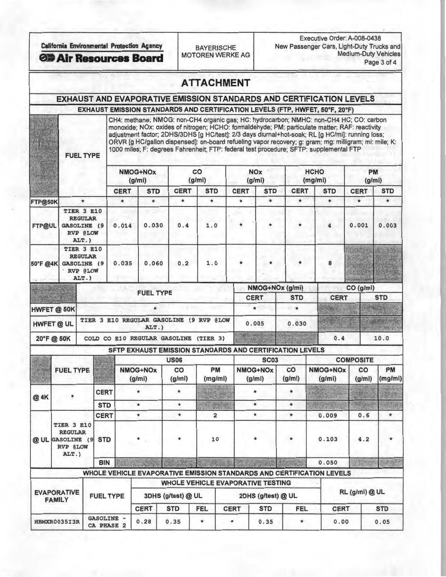Executive Order: A-008-0438 California Environmental Protection Agency<br>MOTOREN WERKE AG Medium-Duty Vehicles **CD Air Resources Board** MOTOREN WERKE AG Medium-Duty Vehicles

|  |  |  |  |  | <b>ATTACHMENT</b> |
|--|--|--|--|--|-------------------|
|  |  |  |  |  |                   |

# EXHAUST AND EVAPORATIVE EMISSION STANDARDS AND CERTIFICATION LEVELS

EXHAUST EMISSION STANDARDS AND CERTIFICATION LEVELS (FTP, HWFET, 50°F, 20°F)

CH4: methane; NMOG: non-CH4 organic gas; HC: hydrocarbon; NMHC: non-CH4 HC; CO: carbon monoxide; NOx: oxides of nitrogen; HCHO: formaldehyde; PM: particulate matter; RAF: reactivity adjustment factor; 2DHS/3DHS [g HC/test]: 2/3 days diurnal+hot-soak; RL [g HC/mi]: running loss; ORVR [g HC/gallon dispensed]: on-board refueling vapor recovery; g: gram; mg: milligram; mi: mile; K: 1000 miles; F: degrees Fahrenheit; FTP: federal test procedure; SFTP: supplemental FTP FUEL TYPE

|                   |                                                                                |                                                                        |                  |             | NMOG+NOx<br>(g/mi)                               |                                                          | co<br>(g/mi)            |             | <b>NOx</b><br>(g/mi)      |                 | <b>HCHO</b><br>(mg/mi)                                                |                  | <b>PM</b><br>(g/mi) |  |  |
|-------------------|--------------------------------------------------------------------------------|------------------------------------------------------------------------|------------------|-------------|--------------------------------------------------|----------------------------------------------------------|-------------------------|-------------|---------------------------|-----------------|-----------------------------------------------------------------------|------------------|---------------------|--|--|
|                   |                                                                                |                                                                        |                  | <b>CERT</b> | <b>STD</b>                                       | <b>CERT</b>                                              | <b>STD</b>              | <b>CERT</b> | <b>STD</b>                | <b>CERT</b>     | <b>STD</b>                                                            | <b>CERT</b>      | <b>STD</b>          |  |  |
| FTP@50K           |                                                                                | $\star$                                                                |                  | $\star$     | $\star$                                          | $\star$                                                  | $\star$                 | $\star$     | $\star$                   | $\star$         | $\star$                                                               | $\star$          | $\star$             |  |  |
| FTP@UL            | TIER 3 E10<br><b>REGULAR</b><br><b>GASOLINE</b> (9<br><b>RVP @LOW</b><br>ALT.) |                                                                        |                  | 0.014       | 0.030                                            | 0.4                                                      | 1.0                     |             |                           | $\ast$          | 4                                                                     | 0.001            | 0.003               |  |  |
| 50°F @4K          | TIER 3 E10<br><b>GASOLINE (9</b><br><b>RVP @LOW</b>                            | <b>REGULAR</b><br>ALT.)                                                |                  | 0.035       | 0.060                                            | 0.2                                                      | 1.0                     | $\ast$      |                           | $\ast$          | 8                                                                     |                  |                     |  |  |
|                   |                                                                                |                                                                        |                  |             |                                                  |                                                          |                         |             |                           | NMOG+NOx (g/mi) |                                                                       | CO (g/mi)        |                     |  |  |
|                   |                                                                                |                                                                        |                  |             |                                                  | <b>FUEL TYPE</b><br><b>CERT</b>                          |                         |             |                           | <b>STD</b>      | <b>CERT</b>                                                           |                  | <b>STD</b>          |  |  |
|                   | HWFET @ 50K                                                                    |                                                                        |                  |             | $\star$                                          |                                                          |                         |             | *<br>$\star$              |                 |                                                                       |                  |                     |  |  |
| <b>HWFET @ UL</b> |                                                                                |                                                                        |                  |             | TIER 3 E10 REGULAR GASOLINE (9 RVP @LOW<br>ALT.) |                                                          |                         |             | 0.005<br>0.030            |                 |                                                                       |                  |                     |  |  |
|                   | 20°F@50K                                                                       |                                                                        |                  |             |                                                  | COLD CO E10 REGULAR GASOLINE (TIER 3)                    |                         |             |                           |                 | 0.4                                                                   |                  | 10.0                |  |  |
|                   |                                                                                |                                                                        |                  |             |                                                  | SFTP EXHAUST EMISSION STANDARDS AND CERTIFICATION LEVELS |                         |             |                           |                 |                                                                       |                  |                     |  |  |
|                   |                                                                                |                                                                        |                  |             |                                                  | <b>US06</b>                                              |                         |             | <b>SC03</b>               |                 |                                                                       | <b>COMPOSITE</b> |                     |  |  |
|                   | <b>FUEL TYPE</b>                                                               |                                                                        |                  |             | <b>NMOG+NOx</b><br>(g/mi)                        | co<br>(g/mi)                                             | PM<br>(mg/mi)           |             | <b>NMOG+NOx</b><br>(g/mi) | CO<br>(g/mi)    | <b>NMOG+NOx</b><br>(g/mi)                                             | CO<br>(g/mi)     | PM<br>(mg/mi)       |  |  |
| @ 4K              |                                                                                |                                                                        | <b>CERT</b>      |             |                                                  | $\star$                                                  |                         |             | $\ast$                    | $\star$         |                                                                       |                  |                     |  |  |
|                   |                                                                                |                                                                        | <b>STD</b>       |             | $\star$                                          | $\star$                                                  | 我好                      |             | $\star$<br>$\star$        |                 |                                                                       |                  |                     |  |  |
|                   |                                                                                |                                                                        | <b>CERT</b>      |             | $\star$                                          | $\ast$                                                   | $\overline{\mathbf{2}}$ |             | $\star$<br>$\star$        |                 | 0.009                                                                 | 0.6              | $\star$             |  |  |
| @ UL GASOLINE (9  |                                                                                | TIER 3 E10<br><b>REGULAR</b><br><b>STD</b><br><b>RVP @LOW</b><br>ALT.) |                  |             |                                                  | $\ast$                                                   | 10                      |             |                           | $\star$         | 0.103                                                                 | 4.2              |                     |  |  |
|                   |                                                                                |                                                                        | <b>BIN</b>       |             |                                                  |                                                          |                         |             |                           |                 | 0.050                                                                 | 2. 199           |                     |  |  |
|                   |                                                                                |                                                                        |                  |             |                                                  |                                                          |                         |             |                           |                 | WHOLE VEHICLE EVAPORATIVE EMISSION STANDARDS AND CERTIFICATION LEVELS |                  |                     |  |  |
|                   |                                                                                |                                                                        |                  |             |                                                  | <b>WHOLE VEHICLE EVAPORATIVE TESTING</b>                 |                         |             |                           |                 |                                                                       |                  |                     |  |  |
|                   | <b>EVAPORATIVE</b><br><b>FAMILY</b>                                            |                                                                        | <b>FUEL TYPE</b> |             | 3DHS (g/test) @ UL                               |                                                          |                         |             | 2DHS (g/test) @ UL        |                 |                                                                       | RL (g/mi) @ UL   |                     |  |  |

GASOLINE HBMXR0 03513R . 28 0.35 0. 35 0. 00 0 . 05 CA PHASE 2

CERT STD FEL CERT STD FEL CERT STD